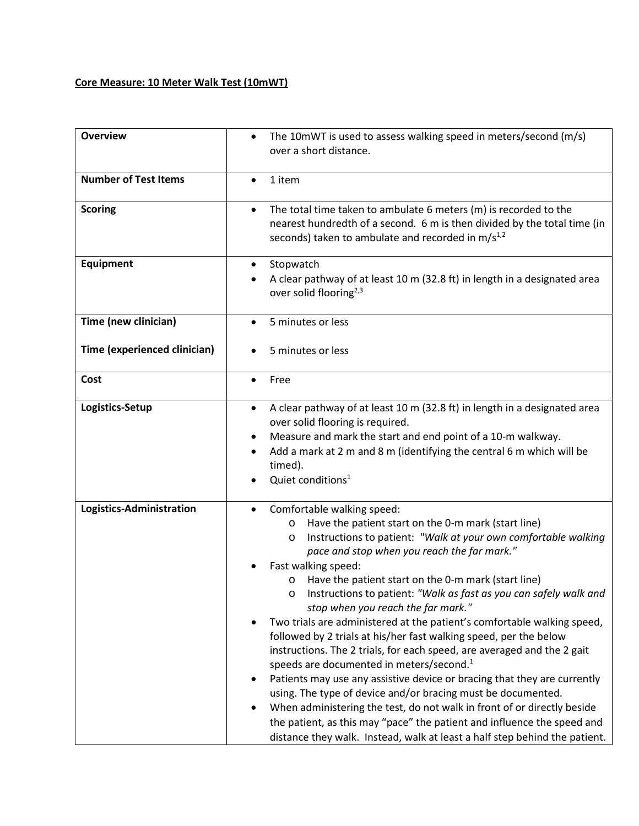## **Core Measure: 10 Meter Walk Test (10mWT)**

| <b>Overview</b>              | The 10mWT is used to assess walking speed in meters/second (m/s)<br>over a short distance.                                                                                                                                                                                                                                                                                                                                                                                                                                                                                                                                                                                                                                                                                                                                                                                                                                                                                                                                                                                                       |  |  |
|------------------------------|--------------------------------------------------------------------------------------------------------------------------------------------------------------------------------------------------------------------------------------------------------------------------------------------------------------------------------------------------------------------------------------------------------------------------------------------------------------------------------------------------------------------------------------------------------------------------------------------------------------------------------------------------------------------------------------------------------------------------------------------------------------------------------------------------------------------------------------------------------------------------------------------------------------------------------------------------------------------------------------------------------------------------------------------------------------------------------------------------|--|--|
| <b>Number of Test Items</b>  | 1 item<br>$\bullet$                                                                                                                                                                                                                                                                                                                                                                                                                                                                                                                                                                                                                                                                                                                                                                                                                                                                                                                                                                                                                                                                              |  |  |
| <b>Scoring</b>               | The total time taken to ambulate 6 meters (m) is recorded to the<br>$\bullet$<br>nearest hundredth of a second. 6 m is then divided by the total time (in<br>seconds) taken to ambulate and recorded in $m/s^{1,2}$                                                                                                                                                                                                                                                                                                                                                                                                                                                                                                                                                                                                                                                                                                                                                                                                                                                                              |  |  |
| <b>Equipment</b>             | Stopwatch<br>٠<br>A clear pathway of at least 10 m (32.8 ft) in length in a designated area<br>٠<br>over solid flooring <sup>2,3</sup>                                                                                                                                                                                                                                                                                                                                                                                                                                                                                                                                                                                                                                                                                                                                                                                                                                                                                                                                                           |  |  |
| Time (new clinician)         | 5 minutes or less<br>$\bullet$                                                                                                                                                                                                                                                                                                                                                                                                                                                                                                                                                                                                                                                                                                                                                                                                                                                                                                                                                                                                                                                                   |  |  |
| Time (experienced clinician) | 5 minutes or less                                                                                                                                                                                                                                                                                                                                                                                                                                                                                                                                                                                                                                                                                                                                                                                                                                                                                                                                                                                                                                                                                |  |  |
| Cost                         | Free<br>$\bullet$                                                                                                                                                                                                                                                                                                                                                                                                                                                                                                                                                                                                                                                                                                                                                                                                                                                                                                                                                                                                                                                                                |  |  |
| Logistics-Setup              | A clear pathway of at least 10 m (32.8 ft) in length in a designated area<br>$\bullet$<br>over solid flooring is required.<br>Measure and mark the start and end point of a 10-m walkway.<br>Add a mark at 2 m and 8 m (identifying the central 6 m which will be<br>timed).<br>Quiet conditions <sup>1</sup>                                                                                                                                                                                                                                                                                                                                                                                                                                                                                                                                                                                                                                                                                                                                                                                    |  |  |
| Logistics-Administration     | Comfortable walking speed:<br>Have the patient start on the 0-m mark (start line)<br>$\circ$<br>Instructions to patient: "Walk at your own comfortable walking<br>O<br>pace and stop when you reach the far mark."<br>Fast walking speed:<br>Have the patient start on the 0-m mark (start line)<br>O<br>Instructions to patient: "Walk as fast as you can safely walk and<br>stop when you reach the far mark."<br>Two trials are administered at the patient's comfortable walking speed,<br>followed by 2 trials at his/her fast walking speed, per the below<br>instructions. The 2 trials, for each speed, are averaged and the 2 gait<br>speeds are documented in meters/second. <sup>1</sup><br>Patients may use any assistive device or bracing that they are currently<br>$\bullet$<br>using. The type of device and/or bracing must be documented.<br>When administering the test, do not walk in front of or directly beside<br>the patient, as this may "pace" the patient and influence the speed and<br>distance they walk. Instead, walk at least a half step behind the patient. |  |  |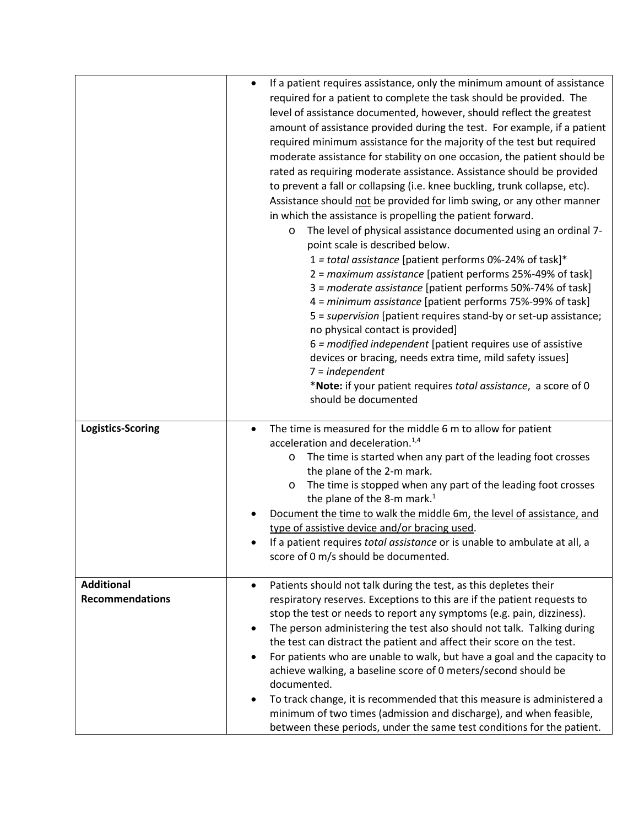|                                             | $\bullet$<br>$\circ$                  | If a patient requires assistance, only the minimum amount of assistance<br>required for a patient to complete the task should be provided. The<br>level of assistance documented, however, should reflect the greatest<br>amount of assistance provided during the test. For example, if a patient<br>required minimum assistance for the majority of the test but required<br>moderate assistance for stability on one occasion, the patient should be<br>rated as requiring moderate assistance. Assistance should be provided<br>to prevent a fall or collapsing (i.e. knee buckling, trunk collapse, etc).<br>Assistance should not be provided for limb swing, or any other manner<br>in which the assistance is propelling the patient forward.<br>The level of physical assistance documented using an ordinal 7-<br>point scale is described below.<br>1 = total assistance [patient performs 0%-24% of task]*<br>2 = maximum assistance [patient performs 25%-49% of task]<br>3 = moderate assistance [patient performs 50%-74% of task]<br>4 = minimum assistance [patient performs 75%-99% of task]<br>5 = supervision [patient requires stand-by or set-up assistance;<br>no physical contact is provided]<br>6 = modified independent [patient requires use of assistive<br>devices or bracing, needs extra time, mild safety issues]<br>7 = independent<br>*Note: if your patient requires total assistance, a score of 0<br>should be documented |
|---------------------------------------------|---------------------------------------|-----------------------------------------------------------------------------------------------------------------------------------------------------------------------------------------------------------------------------------------------------------------------------------------------------------------------------------------------------------------------------------------------------------------------------------------------------------------------------------------------------------------------------------------------------------------------------------------------------------------------------------------------------------------------------------------------------------------------------------------------------------------------------------------------------------------------------------------------------------------------------------------------------------------------------------------------------------------------------------------------------------------------------------------------------------------------------------------------------------------------------------------------------------------------------------------------------------------------------------------------------------------------------------------------------------------------------------------------------------------------------------------------------------------------------------------------------------------|
| Logistics-Scoring                           | O<br>O                                | The time is measured for the middle 6 m to allow for patient<br>acceleration and deceleration. <sup>1,4</sup><br>The time is started when any part of the leading foot crosses<br>the plane of the 2-m mark.<br>The time is stopped when any part of the leading foot crosses<br>the plane of the 8-m mark. <sup>1</sup><br>Document the time to walk the middle 6m, the level of assistance, and<br>type of assistive device and/or bracing used.<br>If a patient requires total assistance or is unable to ambulate at all, a<br>score of 0 m/s should be documented.                                                                                                                                                                                                                                                                                                                                                                                                                                                                                                                                                                                                                                                                                                                                                                                                                                                                                         |
| <b>Additional</b><br><b>Recommendations</b> | $\bullet$<br>$\bullet$<br>documented. | Patients should not talk during the test, as this depletes their<br>respiratory reserves. Exceptions to this are if the patient requests to<br>stop the test or needs to report any symptoms (e.g. pain, dizziness).<br>The person administering the test also should not talk. Talking during<br>the test can distract the patient and affect their score on the test.<br>For patients who are unable to walk, but have a goal and the capacity to<br>achieve walking, a baseline score of 0 meters/second should be<br>To track change, it is recommended that this measure is administered a<br>minimum of two times (admission and discharge), and when feasible,<br>between these periods, under the same test conditions for the patient.                                                                                                                                                                                                                                                                                                                                                                                                                                                                                                                                                                                                                                                                                                                 |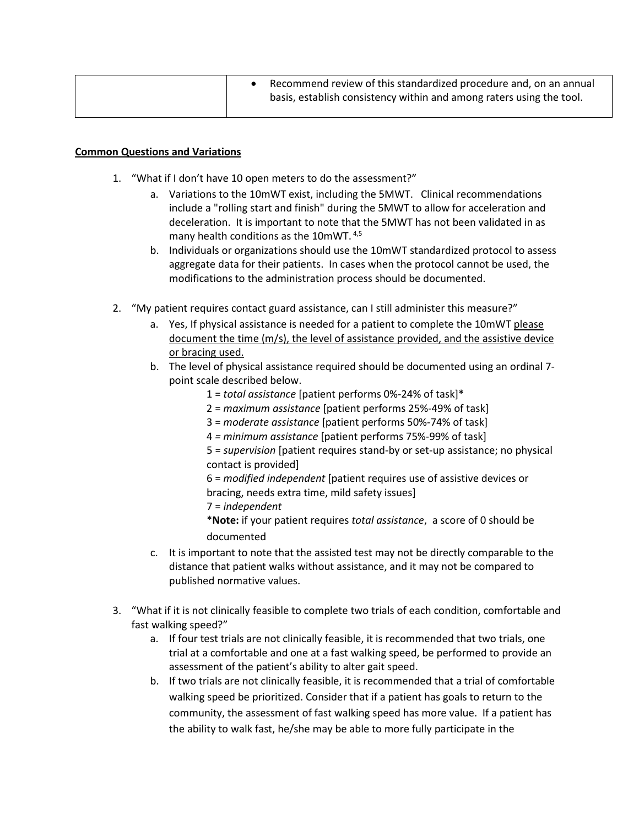| Recommend review of this standardized procedure and, on an annual    |
|----------------------------------------------------------------------|
| basis, establish consistency within and among raters using the tool. |

## **Common Questions and Variations**

- 1. "What if I don't have 10 open meters to do the assessment?"
	- a. Variations to the 10mWT exist, including the 5MWT. Clinical recommendations include a "rolling start and finish" during the 5MWT to allow for acceleration and deceleration. It is important to note that the 5MWT has not been validated in as many health conditions as the 10mWT. 4,5
	- b. Individuals or organizations should use the 10mWT standardized protocol to assess aggregate data for their patients. In cases when the protocol cannot be used, the modifications to the administration process should be documented.
- 2. "My patient requires contact guard assistance, can I still administer this measure?"
	- a. Yes, If physical assistance is needed for a patient to complete the 10mWT please document the time (m/s), the level of assistance provided, and the assistive device or bracing used.
	- b. The level of physical assistance required should be documented using an ordinal 7 point scale described below.
		- 1 = *total assistance* [patient performs 0%-24% of task]\*
		- 2 = *maximum assistance* [patient performs 25%-49% of task]
		- 3 = *moderate assistance* [patient performs 50%-74% of task]
		- 4 *= minimum assistance* [patient performs 75%-99% of task]

5 = *supervision* [patient requires stand-by or set-up assistance; no physical contact is provided]

6 = *modified independent* [patient requires use of assistive devices or bracing, needs extra time, mild safety issues]

7 = *independent*

\***Note:** if your patient requires *total assistance*, a score of 0 should be documented

- c. It is important to note that the assisted test may not be directly comparable to the distance that patient walks without assistance, and it may not be compared to published normative values.
- 3. "What if it is not clinically feasible to complete two trials of each condition, comfortable and fast walking speed?"
	- a. If four test trials are not clinically feasible, it is recommended that two trials, one trial at a comfortable and one at a fast walking speed, be performed to provide an assessment of the patient's ability to alter gait speed.
	- b. If two trials are not clinically feasible, it is recommended that a trial of comfortable walking speed be prioritized. Consider that if a patient has goals to return to the community, the assessment of fast walking speed has more value. If a patient has the ability to walk fast, he/she may be able to more fully participate in the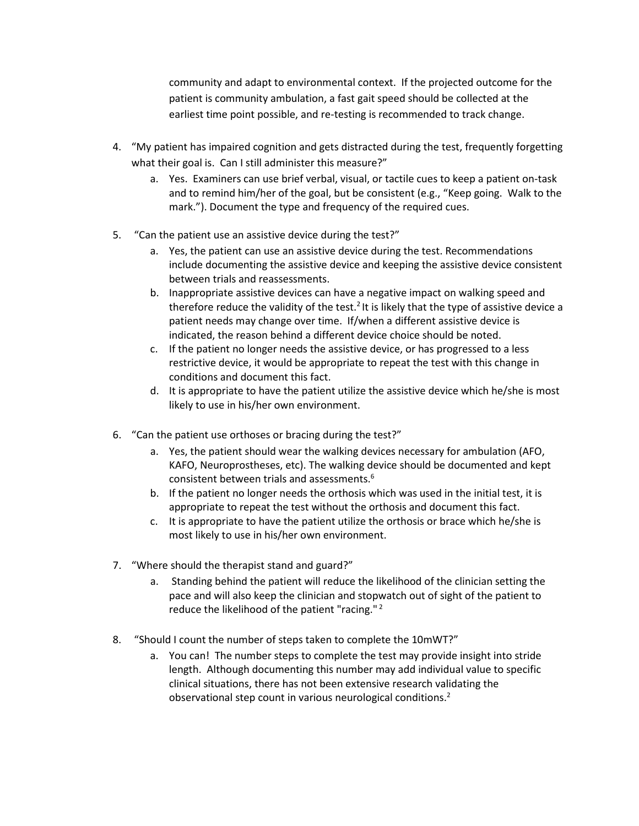community and adapt to environmental context. If the projected outcome for the patient is community ambulation, a fast gait speed should be collected at the earliest time point possible, and re-testing is recommended to track change.

- 4. "My patient has impaired cognition and gets distracted during the test, frequently forgetting what their goal is. Can I still administer this measure?"
	- a. Yes. Examiners can use brief verbal, visual, or tactile cues to keep a patient on-task and to remind him/her of the goal, but be consistent (e.g., "Keep going. Walk to the mark."). Document the type and frequency of the required cues.
- 5. "Can the patient use an assistive device during the test?"
	- a. Yes, the patient can use an assistive device during the test. Recommendations include documenting the assistive device and keeping the assistive device consistent between trials and reassessments.
	- b. Inappropriate assistive devices can have a negative impact on walking speed and therefore reduce the validity of the test.<sup>2</sup> It is likely that the type of assistive device a patient needs may change over time. If/when a different assistive device is indicated, the reason behind a different device choice should be noted.
	- c. If the patient no longer needs the assistive device, or has progressed to a less restrictive device, it would be appropriate to repeat the test with this change in conditions and document this fact.
	- d. It is appropriate to have the patient utilize the assistive device which he/she is most likely to use in his/her own environment.
- 6. "Can the patient use orthoses or bracing during the test?"
	- a. Yes, the patient should wear the walking devices necessary for ambulation (AFO, KAFO, Neuroprostheses, etc). The walking device should be documented and kept consistent between trials and assessments.6
	- b. If the patient no longer needs the orthosis which was used in the initial test, it is appropriate to repeat the test without the orthosis and document this fact.
	- c. It is appropriate to have the patient utilize the orthosis or brace which he/she is most likely to use in his/her own environment.
- 7. "Where should the therapist stand and guard?"
	- a. Standing behind the patient will reduce the likelihood of the clinician setting the pace and will also keep the clinician and stopwatch out of sight of the patient to reduce the likelihood of the patient "racing." <sup>2</sup>
- 8. "Should I count the number of steps taken to complete the 10mWT?"
	- a. You can! The number steps to complete the test may provide insight into stride length. Although documenting this number may add individual value to specific clinical situations, there has not been extensive research validating the observational step count in various neurological conditions.2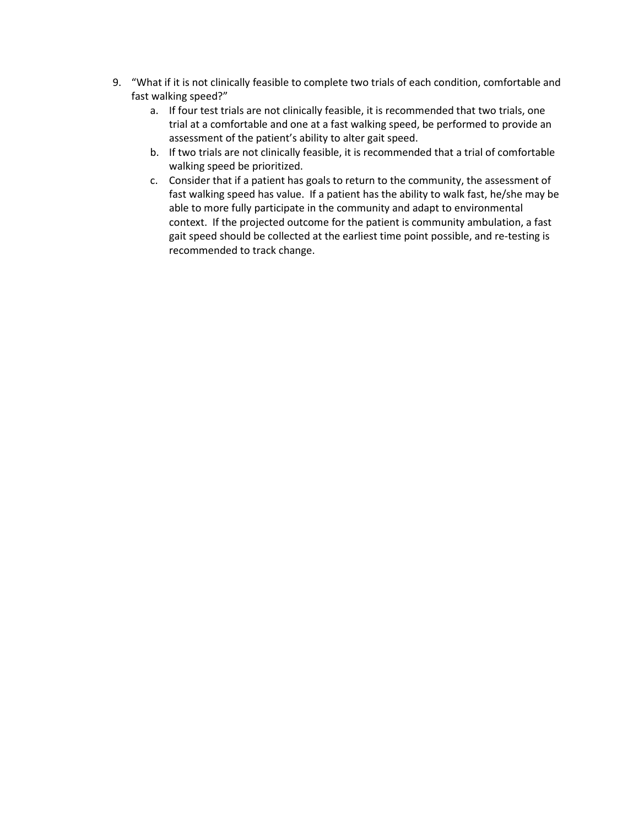- 9. "What if it is not clinically feasible to complete two trials of each condition, comfortable and fast walking speed?"
	- a. If four test trials are not clinically feasible, it is recommended that two trials, one trial at a comfortable and one at a fast walking speed, be performed to provide an assessment of the patient's ability to alter gait speed.
	- b. If two trials are not clinically feasible, it is recommended that a trial of comfortable walking speed be prioritized.
	- c. Consider that if a patient has goals to return to the community, the assessment of fast walking speed has value. If a patient has the ability to walk fast, he/she may be able to more fully participate in the community and adapt to environmental context. If the projected outcome for the patient is community ambulation, a fast gait speed should be collected at the earliest time point possible, and re-testing is recommended to track change.